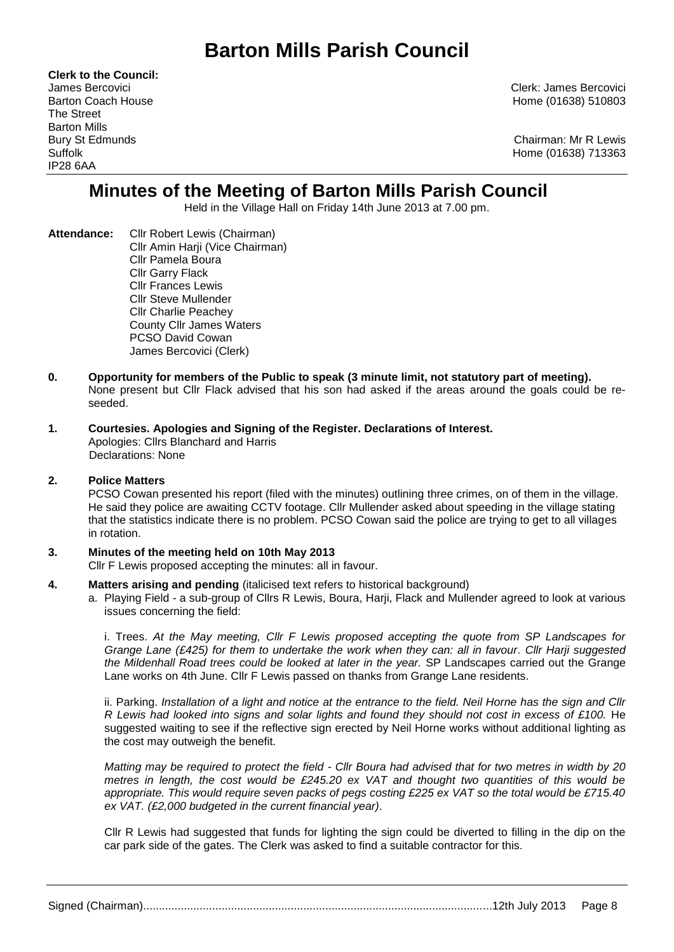# **Barton Mills Parish Council**

**Clerk to the Council:** The Street Barton Mills IP28 6AA

James Bercovici Clerk: James Bercovici Barton Coach House **Home (01638)** 510803

Bury St Edmunds Chairman: Mr R Lewis Suffolk Home (01638) 713363

# **Minutes of the Meeting of Barton Mills Parish Council**

Held in the Village Hall on Friday 14th June 2013 at 7.00 pm.

- **Attendance:** Cllr Robert Lewis (Chairman) Cllr Amin Harji (Vice Chairman) Cllr Pamela Boura Cllr Garry Flack Cllr Frances Lewis Cllr Steve Mullender Cllr Charlie Peachey County Cllr James Waters PCSO David Cowan James Bercovici (Clerk)
- **0. Opportunity for members of the Public to speak (3 minute limit, not statutory part of meeting).**  None present but Cllr Flack advised that his son had asked if the areas around the goals could be reseeded.
- **1. Courtesies. Apologies and Signing of the Register. Declarations of Interest.** Apologies: Cllrs Blanchard and Harris Declarations: None

# **2. Police Matters**

PCSO Cowan presented his report (filed with the minutes) outlining three crimes, on of them in the village. He said they police are awaiting CCTV footage. Cllr Mullender asked about speeding in the village stating that the statistics indicate there is no problem. PCSO Cowan said the police are trying to get to all villages in rotation.

# **3. Minutes of the meeting held on 10th May 2013**

Cllr F Lewis proposed accepting the minutes: all in favour.

- **4. Matters arising and pending** (italicised text refers to historical background)
	- a. Playing Field a sub-group of Cllrs R Lewis, Boura, Harji, Flack and Mullender agreed to look at various issues concerning the field:

i. Trees. *At the May meeting, Cllr F Lewis proposed accepting the quote from SP Landscapes for Grange Lane (£425) for them to undertake the work when they can: all in favour. Cllr Harji suggested the Mildenhall Road trees could be looked at later in the year.* SP Landscapes carried out the Grange Lane works on 4th June. Cllr F Lewis passed on thanks from Grange Lane residents.

ii. Parking. *Installation of a light and notice at the entrance to the field. Neil Horne has the sign and Cllr R Lewis had looked into signs and solar lights and found they should not cost in excess of £100.* He suggested waiting to see if the reflective sign erected by Neil Horne works without additional lighting as the cost may outweigh the benefit.

*Matting may be required to protect the field - Cllr Boura had advised that for two metres in width by 20 metres in length, the cost would be £245.20 ex VAT and thought two quantities of this would be appropriate. This would require seven packs of pegs costing £225 ex VAT so the total would be £715.40 ex VAT. (£2,000 budgeted in the current financial year).* 

Cllr R Lewis had suggested that funds for lighting the sign could be diverted to filling in the dip on the car park side of the gates. The Clerk was asked to find a suitable contractor for this.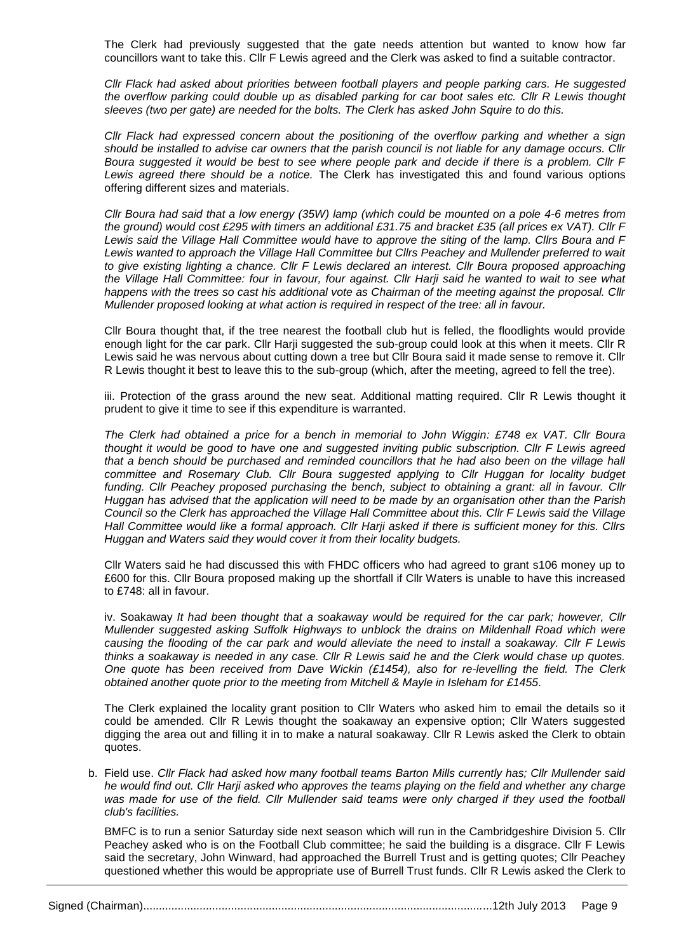The Clerk had previously suggested that the gate needs attention but wanted to know how far councillors want to take this. Cllr F Lewis agreed and the Clerk was asked to find a suitable contractor.

*Cllr Flack had asked about priorities between football players and people parking cars. He suggested the overflow parking could double up as disabled parking for car boot sales etc. Cllr R Lewis thought sleeves (two per gate) are needed for the bolts. The Clerk has asked John Squire to do this.*

*Cllr Flack had expressed concern about the positioning of the overflow parking and whether a sign should be installed to advise car owners that the parish council is not liable for any damage occurs. Cllr Boura suggested it would be best to see where people park and decide if there is a problem. Cllr F Lewis agreed there should be a notice.* The Clerk has investigated this and found various options offering different sizes and materials.

*Cllr Boura had said that a low energy (35W) lamp (which could be mounted on a pole 4-6 metres from the ground) would cost £295 with timers an additional £31.75 and bracket £35 (all prices ex VAT). Cllr F Lewis said the Village Hall Committee would have to approve the siting of the lamp. Cllrs Boura and F*  Lewis wanted to approach the Village Hall Committee but Cllrs Peachey and Mullender preferred to wait to give existing lighting a chance. Cllr F Lewis declared an interest. Cllr Boura proposed approaching *the Village Hall Committee: four in favour, four against. Cllr Harji said he wanted to wait to see what happens with the trees so cast his additional vote as Chairman of the meeting against the proposal. Cllr Mullender proposed looking at what action is required in respect of the tree: all in favour.*

Cllr Boura thought that, if the tree nearest the football club hut is felled, the floodlights would provide enough light for the car park. Cllr Harji suggested the sub-group could look at this when it meets. Cllr R Lewis said he was nervous about cutting down a tree but Cllr Boura said it made sense to remove it. Cllr R Lewis thought it best to leave this to the sub-group (which, after the meeting, agreed to fell the tree).

iii. Protection of the grass around the new seat. Additional matting required. Cllr R Lewis thought it prudent to give it time to see if this expenditure is warranted.

*The Clerk had obtained a price for a bench in memorial to John Wiggin: £748 ex VAT. Cllr Boura thought it would be good to have one and suggested inviting public subscription. Cllr F Lewis agreed*  that a bench should be purchased and reminded councillors that he had also been on the village hall *committee and Rosemary Club. Cllr Boura suggested applying to Cllr Huggan for locality budget funding. Cllr Peachey proposed purchasing the bench, subject to obtaining a grant: all in favour. Cllr Huggan has advised that the application will need to be made by an organisation other than the Parish Council so the Clerk has approached the Village Hall Committee about this. Cllr F Lewis said the Village Hall Committee would like a formal approach. Cllr Harji asked if there is sufficient money for this. Cllrs Huggan and Waters said they would cover it from their locality budgets.*

Cllr Waters said he had discussed this with FHDC officers who had agreed to grant s106 money up to £600 for this. Cllr Boura proposed making up the shortfall if Cllr Waters is unable to have this increased to £748: all in favour.

iv. Soakaway *It had been thought that a soakaway would be required for the car park; however, Cllr Mullender suggested asking Suffolk Highways to unblock the drains on Mildenhall Road which were causing the flooding of the car park and would alleviate the need to install a soakaway. Cllr F Lewis thinks a soakaway is needed in any case. Cllr R Lewis said he and the Clerk would chase up quotes. One quote has been received from Dave Wickin (£1454), also for re-levelling the field. The Clerk obtained another quote prior to the meeting from Mitchell & Mayle in Isleham for £1455.*

The Clerk explained the locality grant position to Cllr Waters who asked him to email the details so it could be amended. Cllr R Lewis thought the soakaway an expensive option; Cllr Waters suggested digging the area out and filling it in to make a natural soakaway. Cllr R Lewis asked the Clerk to obtain quotes.

b. Field use. *Cllr Flack had asked how many football teams Barton Mills currently has; Cllr Mullender said he would find out. Cllr Harji asked who approves the teams playing on the field and whether any charge*  was made for use of the field. Cllr Mullender said teams were only charged if they used the football *club's facilities.*

BMFC is to run a senior Saturday side next season which will run in the Cambridgeshire Division 5. Cllr Peachey asked who is on the Football Club committee; he said the building is a disgrace. Cllr F Lewis said the secretary, John Winward, had approached the Burrell Trust and is getting quotes; Cllr Peachey questioned whether this would be appropriate use of Burrell Trust funds. Cllr R Lewis asked the Clerk to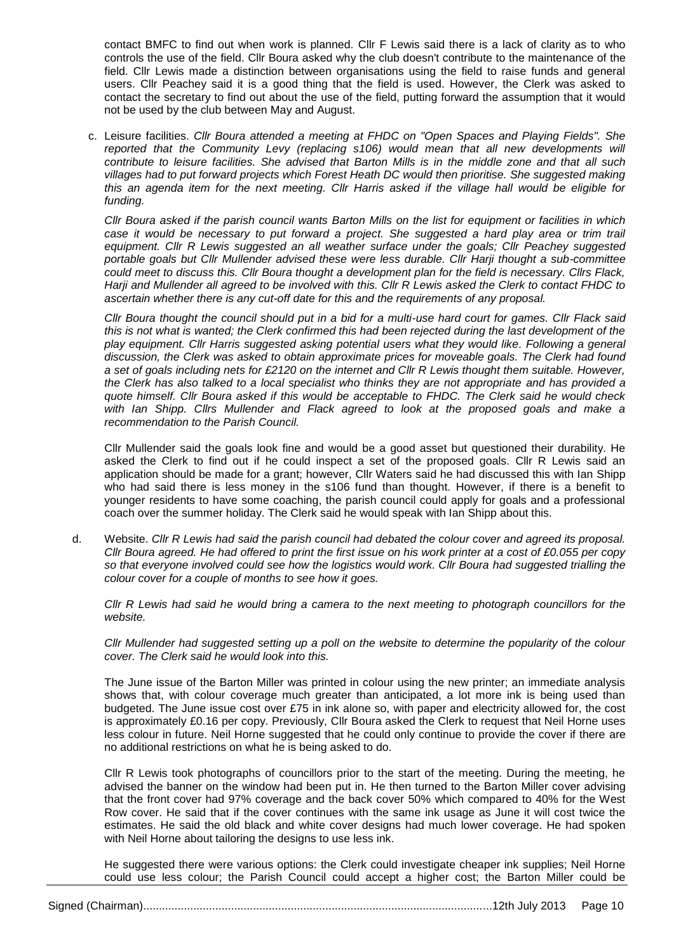contact BMFC to find out when work is planned. Cllr F Lewis said there is a lack of clarity as to who controls the use of the field. Cllr Boura asked why the club doesn't contribute to the maintenance of the field. Cllr Lewis made a distinction between organisations using the field to raise funds and general users. Cllr Peachey said it is a good thing that the field is used. However, the Clerk was asked to contact the secretary to find out about the use of the field, putting forward the assumption that it would not be used by the club between May and August.

c. Leisure facilities. *Cllr Boura attended a meeting at FHDC on "Open Spaces and Playing Fields". She reported that the Community Levy (replacing s106) would mean that all new developments will contribute to leisure facilities. She advised that Barton Mills is in the middle zone and that all such villages had to put forward projects which Forest Heath DC would then prioritise. She suggested making this an agenda item for the next meeting. Cllr Harris asked if the village hall would be eligible for funding.*

*Cllr Boura asked if the parish council wants Barton Mills on the list for equipment or facilities in which*  case it would be necessary to put forward a project. She suggested a hard play area or trim trail *equipment. Cllr R Lewis suggested an all weather surface under the goals; Cllr Peachey suggested portable goals but Cllr Mullender advised these were less durable. Cllr Harji thought a sub-committee could meet to discuss this. Cllr Boura thought a development plan for the field is necessary. Cllrs Flack, Harji and Mullender all agreed to be involved with this. Cllr R Lewis asked the Clerk to contact FHDC to ascertain whether there is any cut-off date for this and the requirements of any proposal.*

*Cllr Boura thought the council should put in a bid for a multi-use hard court for games. Cllr Flack said this is not what is wanted; the Clerk confirmed this had been rejected during the last development of the play equipment. Cllr Harris suggested asking potential users what they would like. Following a general discussion, the Clerk was asked to obtain approximate prices for moveable goals. The Clerk had found a set of goals including nets for £2120 on the internet and Cllr R Lewis thought them suitable. However, the Clerk has also talked to a local specialist who thinks they are not appropriate and has provided a quote himself. Cllr Boura asked if this would be acceptable to FHDC. The Clerk said he would check with Ian Shipp. Cllrs Mullender and Flack agreed to look at the proposed goals and make a recommendation to the Parish Council.*

Cllr Mullender said the goals look fine and would be a good asset but questioned their durability. He asked the Clerk to find out if he could inspect a set of the proposed goals. Cllr R Lewis said an application should be made for a grant; however, Cllr Waters said he had discussed this with Ian Shipp who had said there is less money in the s106 fund than thought. However, if there is a benefit to younger residents to have some coaching, the parish council could apply for goals and a professional coach over the summer holiday. The Clerk said he would speak with Ian Shipp about this.

d. Website. *Cllr R Lewis had said the parish council had debated the colour cover and agreed its proposal. Cllr Boura agreed. He had offered to print the first issue on his work printer at a cost of £0.055 per copy so that everyone involved could see how the logistics would work. Cllr Boura had suggested trialling the colour cover for a couple of months to see how it goes.*

*Cllr R Lewis had said he would bring a camera to the next meeting to photograph councillors for the website.* 

*Cllr Mullender had suggested setting up a poll on the website to determine the popularity of the colour cover. The Clerk said he would look into this.*

The June issue of the Barton Miller was printed in colour using the new printer; an immediate analysis shows that, with colour coverage much greater than anticipated, a lot more ink is being used than budgeted. The June issue cost over £75 in ink alone so, with paper and electricity allowed for, the cost is approximately £0.16 per copy. Previously, Cllr Boura asked the Clerk to request that Neil Horne uses less colour in future. Neil Horne suggested that he could only continue to provide the cover if there are no additional restrictions on what he is being asked to do.

Cllr R Lewis took photographs of councillors prior to the start of the meeting. During the meeting, he advised the banner on the window had been put in. He then turned to the Barton Miller cover advising that the front cover had 97% coverage and the back cover 50% which compared to 40% for the West Row cover. He said that if the cover continues with the same ink usage as June it will cost twice the estimates. He said the old black and white cover designs had much lower coverage. He had spoken with Neil Horne about tailoring the designs to use less ink.

He suggested there were various options: the Clerk could investigate cheaper ink supplies; Neil Horne could use less colour; the Parish Council could accept a higher cost; the Barton Miller could be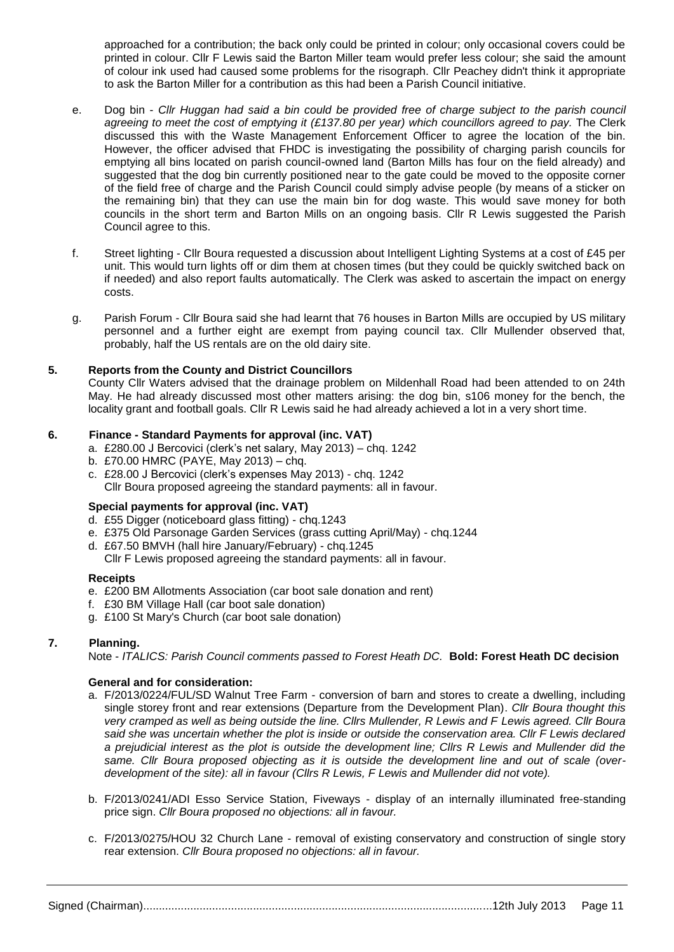approached for a contribution; the back only could be printed in colour; only occasional covers could be printed in colour. Cllr F Lewis said the Barton Miller team would prefer less colour; she said the amount of colour ink used had caused some problems for the risograph. Cllr Peachey didn't think it appropriate to ask the Barton Miller for a contribution as this had been a Parish Council initiative.

- e. Dog bin *Cllr Huggan had said a bin could be provided free of charge subject to the parish council agreeing to meet the cost of emptying it (£137.80 per year) which councillors agreed to pay.* The Clerk discussed this with the Waste Management Enforcement Officer to agree the location of the bin. However, the officer advised that FHDC is investigating the possibility of charging parish councils for emptying all bins located on parish council-owned land (Barton Mills has four on the field already) and suggested that the dog bin currently positioned near to the gate could be moved to the opposite corner of the field free of charge and the Parish Council could simply advise people (by means of a sticker on the remaining bin) that they can use the main bin for dog waste. This would save money for both councils in the short term and Barton Mills on an ongoing basis. Cllr R Lewis suggested the Parish Council agree to this.
- f. Street lighting Cllr Boura requested a discussion about Intelligent Lighting Systems at a cost of £45 per unit. This would turn lights off or dim them at chosen times (but they could be quickly switched back on if needed) and also report faults automatically. The Clerk was asked to ascertain the impact on energy costs.
- g. Parish Forum Cllr Boura said she had learnt that 76 houses in Barton Mills are occupied by US military personnel and a further eight are exempt from paying council tax. Cllr Mullender observed that, probably, half the US rentals are on the old dairy site.

# **5. Reports from the County and District Councillors**

County Cllr Waters advised that the drainage problem on Mildenhall Road had been attended to on 24th May. He had already discussed most other matters arising: the dog bin, s106 money for the bench, the locality grant and football goals. Cllr R Lewis said he had already achieved a lot in a very short time.

## **6. Finance - Standard Payments for approval (inc. VAT)**

- a. £280.00 J Bercovici (clerk's net salary, May 2013) chq. 1242
- b. £70.00 HMRC (PAYE, May 2013) chq.
- c. £28.00 J Bercovici (clerk's expenses May 2013) chq. 1242 Cllr Boura proposed agreeing the standard payments: all in favour.

# **Special payments for approval (inc. VAT)**

- d. £55 Digger (noticeboard glass fitting) chq.1243
- e. £375 Old Parsonage Garden Services (grass cutting April/May) chq.1244
- d. £67.50 BMVH (hall hire January/February) chq.1245 Cllr F Lewis proposed agreeing the standard payments: all in favour.

#### **Receipts**

- e. £200 BM Allotments Association (car boot sale donation and rent)
- f. £30 BM Village Hall (car boot sale donation)
- g. £100 St Mary's Church (car boot sale donation)

# **7. Planning.**

Note - *ITALICS: Parish Council comments passed to Forest Heath DC.* **Bold: Forest Heath DC decision**

# **General and for consideration:**

- a. F/2013/0224/FUL/SD Walnut Tree Farm conversion of barn and stores to create a dwelling, including single storey front and rear extensions (Departure from the Development Plan). *Cllr Boura thought this very cramped as well as being outside the line. Cllrs Mullender, R Lewis and F Lewis agreed. Cllr Boura said she was uncertain whether the plot is inside or outside the conservation area. Cllr F Lewis declared a prejudicial interest as the plot is outside the development line; Cllrs R Lewis and Mullender did the same. Cllr Boura proposed objecting as it is outside the development line and out of scale (overdevelopment of the site): all in favour (Cllrs R Lewis, F Lewis and Mullender did not vote).*
- b. F/2013/0241/ADI Esso Service Station, Fiveways display of an internally illuminated free-standing price sign. *Cllr Boura proposed no objections: all in favour.*
- c. F/2013/0275/HOU 32 Church Lane removal of existing conservatory and construction of single story rear extension. *Cllr Boura proposed no objections: all in favour.*